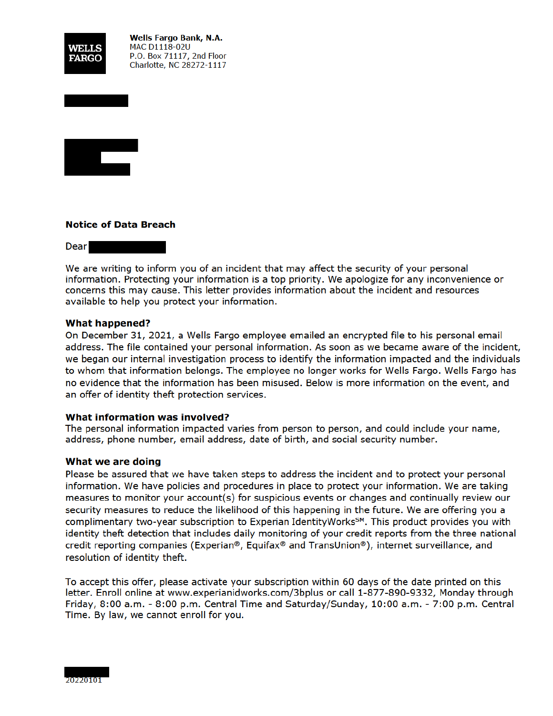

**Wells Fargo Bank, N.A. MAC D1118-02U** P.O. Box 71117, 2nd Floor Charlotte, NC 28272-1117



### **Notice of Data Breach**

**Dear** 

We are writing to inform you of an incident that may affect the security of your personal information. Protecting your information is a top priority. We apologize for any inconvenience or concerns this may cause. This letter provides information about the incident and resources available to help you protect your information.

### **What happened?**

On December 31, 2021, a Wells Fargo employee emailed an encrypted file to his personal email address. The file contained your personal information. As soon as we became aware of the incident, we began our internal investigation process to identify the information impacted and the individuals to whom that information belongs. The employee no longer works for Wells Fargo. Wells Fargo has no evidence that the information has been misused. Below is more information on the event, and an offer of identity theft protection services.

### What information was involved?

The personal information impacted varies from person to person, and could include your name, address, phone number, email address, date of birth, and social security number.

### What we are doing

Please be assured that we have taken steps to address the incident and to protect your personal information. We have policies and procedures in place to protect your information. We are taking measures to monitor your account(s) for suspicious events or changes and continually review our security measures to reduce the likelihood of this happening in the future. We are offering you a complimentary two-year subscription to Experian IdentityWorks<sup>SM</sup>. This product provides you with identity theft detection that includes daily monitoring of your credit reports from the three national credit reporting companies (Experian®, Equifax® and TransUnion®), internet surveillance, and resolution of identity theft.

To accept this offer, please activate your subscription within 60 days of the date printed on this letter. Enroll online at www.experianidworks.com/3bplus or call 1-877-890-9332, Monday through Friday, 8:00 a.m. - 8:00 p.m. Central Time and Saturday/Sunday, 10:00 a.m. - 7:00 p.m. Central Time. By law, we cannot enroll for you.

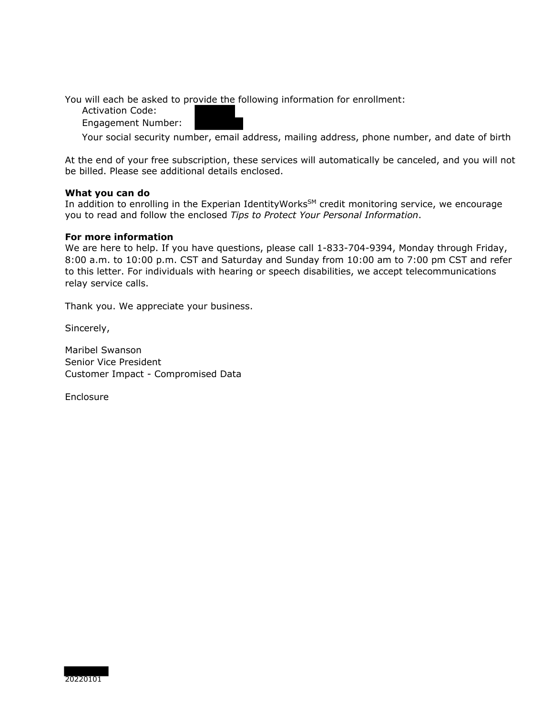You will each be asked to provide the following information for enrollment:

Activation Code:

Engagement Number:

Your social security number, email address, mailing address, phone number, and date of birth

At the end of your free subscription, these services will automatically be canceled, and you will not be billed. Please see additional details enclosed.

### **What you can do**

In addition to enrolling in the Experian IdentityWorks<sup>SM</sup> credit monitoring service, we encourage you to read and follow the enclosed *Tips to Protect Your Personal Information*.

### **For more information**

We are here to help. If you have questions, please call 1-833-704-9394, Monday through Friday, 8:00 a.m. to 10:00 p.m. CST and Saturday and Sunday from 10:00 am to 7:00 pm CST and refer to this letter. For individuals with hearing or speech disabilities, we accept telecommunications relay service calls.

Thank you. We appreciate your business.

Sincerely,

Maribel Swanson Senior Vice President Customer Impact - Compromised Data

**Enclosure** 

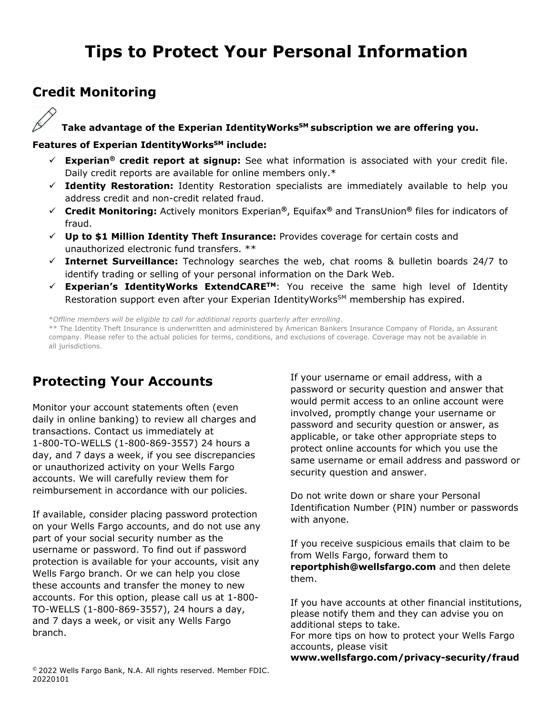# **Tips to Protect Your Personal Information**

## **Credit Monitoring**

## Take advantage of the Experian IdentityWorks<sup>SM</sup> subscription we are offering you.

### Features of Experian IdentityWorks<sup>SM</sup> include:

- **Experian® credit report at signup:** See what information is associated with your credit file. Daily credit reports are available for online members only.\*
- **Identity Restoration:** Identity Restoration specialists are immediately available to help you address credit and non-credit related fraud.
- **Credit Monitoring:** Actively monitors Experian**®**, Equifax**®** and TransUnion**®** files for indicators of fraud.
- **Up to \$1 Million Identity Theft Insurance:** Provides coverage for certain costs and unauthorized electronic fund transfers. \*\*
- **Internet Surveillance:** Technology searches the web, chat rooms & bulletin boards 24/7 to identify trading or selling of your personal information on the Dark Web.
- **Experian's IdentityWorks ExtendCARETM**: You receive the same high level of Identity Restoration support even after your Experian IdentityWorks<sup>SM</sup> membership has expired.

\**Offline members will be eligible to call for additional reports quarterly after enrolling.*

\*\* The Identity Theft Insurance is underwritten and administered by American Bankers Insurance Company of Florida, an Assurant company. Please refer to the actual policies for terms, conditions, and exclusions of coverage. Coverage may not be available in all jurisdictions.

# **Protecting Your Accounts**

Monitor your account statements often (even daily in online banking) to review all charges and transactions. Contact us immediately at 1-800-TO-WELLS (1-800-869-3557) 24 hours a day, and 7 days a week, if you see discrepancies or unauthorized activity on your Wells Fargo accounts. We will carefully review them for reimbursement in accordance with our policies.

If available, consider placing password protection on your Wells Fargo accounts, and do not use any part of your social security number as the username or password. To find out if password protection is available for your accounts, visit any Wells Fargo branch. Or we can help you close these accounts and transfer the money to new accounts. For this option, please call us at 1-800- TO-WELLS (1-800-869-3557), 24 hours a day, and 7 days a week, or visit any Wells Fargo branch.

If your username or email address, with a password or security question and answer that would permit access to an online account were involved, promptly change your username or password and security question or answer, as applicable, or take other appropriate steps to protect online accounts for which you use the same username or email address and password or security question and answer.

Do not write down or share your Personal Identification Number (PIN) number or passwords with anyone.

If you receive suspicious emails that claim to be from Wells Fargo, forward them to **reportphish@wellsfargo.com** and then delete them.

If you have accounts at other financial institutions, please notify them and they can advise you on additional steps to take. For more tips on how to protect your Wells Fargo accounts, please visit **www.wellsfargo.com/privacy-security/fraud**